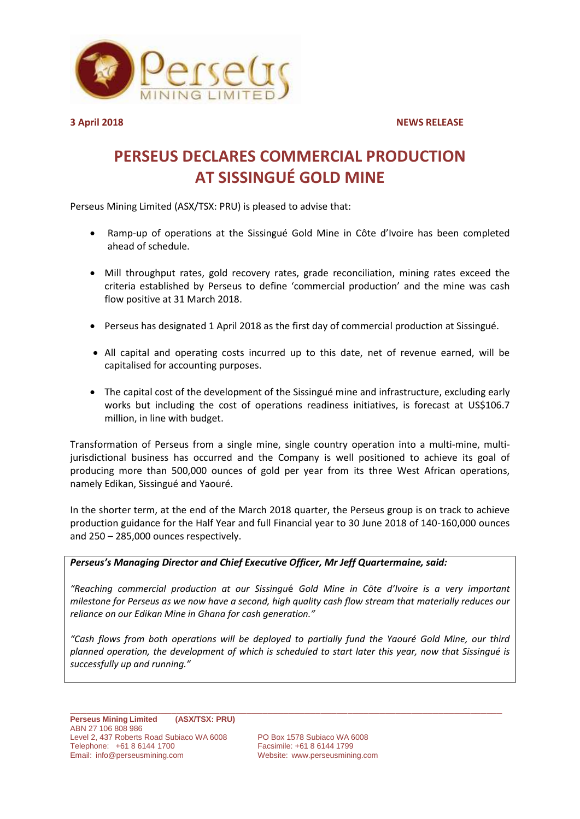

**3 April 2018 NEWS RELEASE**

## **PERSEUS DECLARES COMMERCIAL PRODUCTION AT SISSINGUÉ GOLD MINE**

Perseus Mining Limited (ASX/TSX: PRU) is pleased to advise that:

- Ramp-up of operations at the Sissingué Gold Mine in Côte d'Ivoire has been completed ahead of schedule.
- Mill throughput rates, gold recovery rates, grade reconciliation, mining rates exceed the criteria established by Perseus to define 'commercial production' and the mine was cash flow positive at 31 March 2018.
- Perseus has designated 1 April 2018 as the first day of commercial production at Sissingué.
- All capital and operating costs incurred up to this date, net of revenue earned, will be capitalised for accounting purposes.
- The capital cost of the development of the Sissingué mine and infrastructure, excluding early works but including the cost of operations readiness initiatives, is forecast at US\$106.7 million, in line with budget.

Transformation of Perseus from a single mine, single country operation into a multi-mine, multijurisdictional business has occurred and the Company is well positioned to achieve its goal of producing more than 500,000 ounces of gold per year from its three West African operations, namely Edikan, Sissingué and Yaouré.

In the shorter term, at the end of the March 2018 quarter, the Perseus group is on track to achieve production guidance for the Half Year and full Financial year to 30 June 2018 of 140-160,000 ounces and 250 – 285,000 ounces respectively.

## *Perseus's Managing Director and Chief Executive Officer, Mr Jeff Quartermaine, said:*

*"Reaching commercial production at our Sissingu*é *Gold Mine in Côte d'Ivoire is a very important milestone for Perseus as we now have a second, high quality cash flow stream that materially reduces our reliance on our Edikan Mine in Ghana for cash generation."*

*"Cash flows from both operations will be deployed to partially fund the Yaouré Gold Mine, our third planned operation, the development of which is scheduled to start later this year, now that Sissingué is successfully up and running."*

Website: [www.perseusmining.com](http://www.perseusmining.com/)